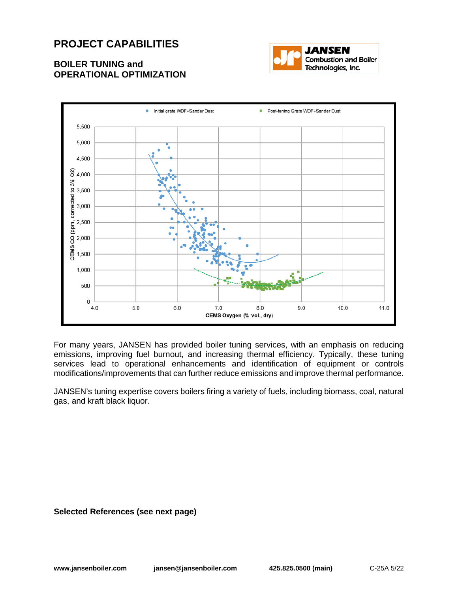## **PROJECT CAPABILITIES**

## **BOILER TUNING and OPERATIONAL OPTIMIZATION**





For many years, JANSEN has provided boiler tuning services, with an emphasis on reducing emissions, improving fuel burnout, and increasing thermal efficiency. Typically, these tuning services lead to operational enhancements and identification of equipment or controls modifications/improvements that can further reduce emissions and improve thermal performance.

JANSEN's tuning expertise covers boilers firing a variety of fuels, including biomass, coal, natural gas, and kraft black liquor.

**Selected References (see next page)**